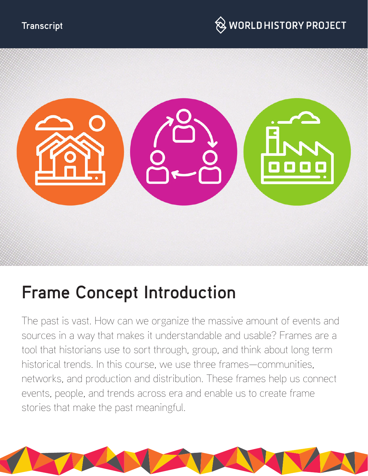



# **Frame Concept Introduction**

The past is vast. How can we organize the massive amount of events and sources in a way that makes it understandable and usable? Frames are a tool that historians use to sort through, group, and think about long term historical trends. In this course, we use three frames—communities, networks, and production and distribution. These frames help us connect events, people, and trends across era and enable us to create frame stories that make the past meaningful.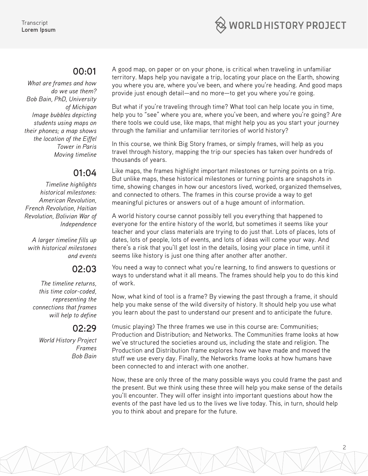

#### **00:01**

*What are frames and how do we use them? Bob Bain, PhD, University of Michigan Image bubbles depicting students using maps on their phones; a map shows the location of the Eiffel Tower in Paris Moving timeline*

# **01:04**

*Timeline highlights historical milestones: American Revolution, French Revolution, Haitian Revolution, Bolivian War of Independence*

*A larger timeline fills up with historical milestones and events*

### **02:03**

*The timeline returns, this time color-coded, representing the connections that frames will help to define*

# **02:29**

*World History Project Frames Bob Bain*

A good map, on paper or on your phone, is critical when traveling in unfamiliar territory. Maps help you navigate a trip, locating your place on the Earth, showing you where you are, where you've been, and where you're heading. And good maps provide just enough detail—and no more—to get you where you're going.

But what if you're traveling through time? What tool can help locate you in time, help you to "see" where you are, where you've been, and where you're going? Are there tools we could use, like maps, that might help you as you start your journey through the familiar and unfamiliar territories of world history?

In this course, we think Big Story frames, or simply frames, will help as you travel through history, mapping the trip our species has taken over hundreds of thousands of years.

Like maps, the frames highlight important milestones or turning points on a trip. But unlike maps, these historical milestones or turning points are snapshots in time, showing changes in how our ancestors lived, worked, organized themselves, and connected to others. The frames in this course provide a way to get meaningful pictures or answers out of a huge amount of information.

A world history course cannot possibly tell you everything that happened to everyone for the entire history of the world, but sometimes it seems like your teacher and your class materials are trying to do just that. Lots of places, lots of dates, lots of people, lots of events, and lots of ideas will come your way. And there's a risk that you'll get lost in the details, losing your place in time, until it seems like history is just one thing after another after another.

You need a way to connect what you're learning, to find answers to questions or ways to understand what it all means. The frames should help you to do this kind of work.

Now, what kind of tool is a frame? By viewing the past through a frame, it should help you make sense of the wild diversity of history. It should help you use what you learn about the past to understand our present and to anticipate the future.

(music playing) The three frames we use in this course are: Communities; Production and Distribution; and Networks. The Communities frame looks at how we've structured the societies around us, including the state and religion. The Production and Distribution frame explores how we have made and moved the stuff we use every day. Finally, the Networks frame looks at how humans have been connected to and interact with one another.

Now, these are only three of the many possible ways you could frame the past and the present. But we think using these three will help you make sense of the details you'll encounter. They will offer insight into important questions about how the events of the past have led us to the lives we live today. This, in turn, should help you to think about and prepare for the future.

2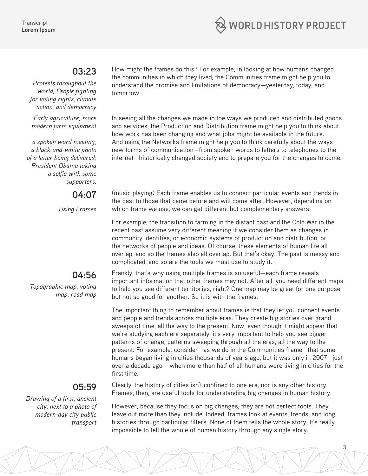

#### **03:23**

*Protests throughout the world; People fighting for voting rights; climate action; and democracy*

*Early agriculture; more modern farm equipment*

*a spoken word meeting, a black-and-white photo of a letter being delivered; President Obama taking a selfie with some supporters.* 

**04:07**

*Using Frames*

## **04:56**

*Topographic map, voting map, road map*

## **05:59**

*Drawing of a first, ancient city, next to a photo of modern-day city public transport* How might the frames do this? For example, in looking at how humans changed the communities in which they lived, the Communities frame might help you to understand the promise and limitations of democracy—yesterday, today, and tomorrow.

In seeing all the changes we made in the ways we produced and distributed goods and services, the Production and Distribution frame might help you to think about how work has been changing and what jobs might be available in the future. And using the Networks frame might help you to think carefully about the ways new forms of communication—from spoken words to letters to telephones to the internet—historically changed society and to prepare you for the changes to come.

(music playing) Each frame enables us to connect particular events and trends in the past to those that came before and will come after. However, depending on which frame we use, we can get different but complementary answers.

For example, the transition to farming in the distant past and the Cold War in the recent past assume very different meaning if we consider them as changes in community identities, or economic systems of production and distribution, or the networks of people and ideas. Of course, these elements of human life all overlap, and so the frames also all overlap. But that's okay. The past is messy and complicated, and so are the tools we must use to study it.

Frankly, that's why using multiple frames is so useful—each frame reveals important information that other frames may not. After all, you need different maps to help you see different territories, right? One map may be great for one purpose but not so good for another. So it is with the frames.

The important thing to remember about frames is that they let you connect events and people and trends across multiple eras. They create big stories over grand sweeps of time, all the way to the present. Now, even though it might appear that we're studying each era separately, it's very important to help you see bigger patterns of change, patterns sweeping through all the eras, all the way to the present. For example, consider—as we do in the Communities frame—that some humans began living in cities thousands of years ago, but it was only in 2007—just over a decade ago— when more than half of all humans were living in cities for the first time.

Clearly, the history of cities isn't confined to one era, nor is any other history. Frames, then, are useful tools for understanding big changes in human history.

However, because they focus on big changes, they are not perfect tools. They leave out more than they include. Indeed, frames look at events, trends, and long histories through particular filters. None of them tells the whole story. It's really impossible to tell the whole of human history through any single story.

3